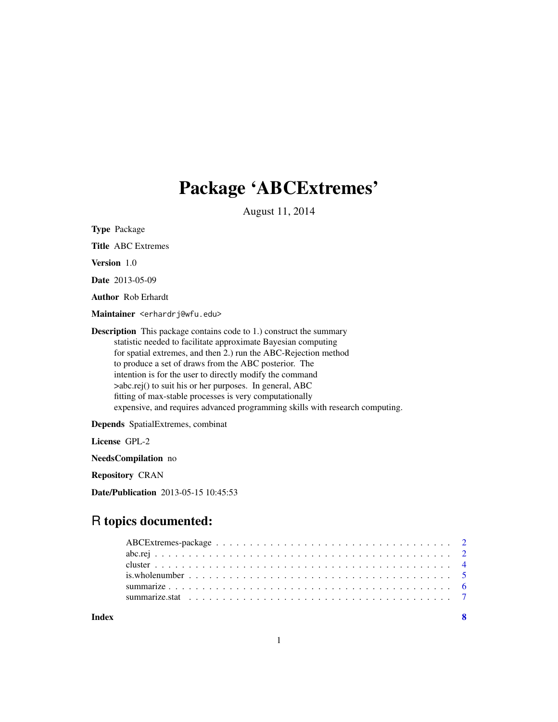## Package 'ABCExtremes'

August 11, 2014

Type Package

Title ABC Extremes

Version 1.0

Date 2013-05-09

Author Rob Erhardt

Maintainer <erhardrj@wfu.edu>

Description This package contains code to 1.) construct the summary statistic needed to facilitate approximate Bayesian computing for spatial extremes, and then 2.) run the ABC-Rejection method to produce a set of draws from the ABC posterior. The intention is for the user to directly modify the command >abc.rej() to suit his or her purposes. In general, ABC fitting of max-stable processes is very computationally expensive, and requires advanced programming skills with research computing.

Depends SpatialExtremes, combinat

License GPL-2

NeedsCompilation no

Repository CRAN

Date/Publication 2013-05-15 10:45:53

### R topics documented:

| Indev |  |
|-------|--|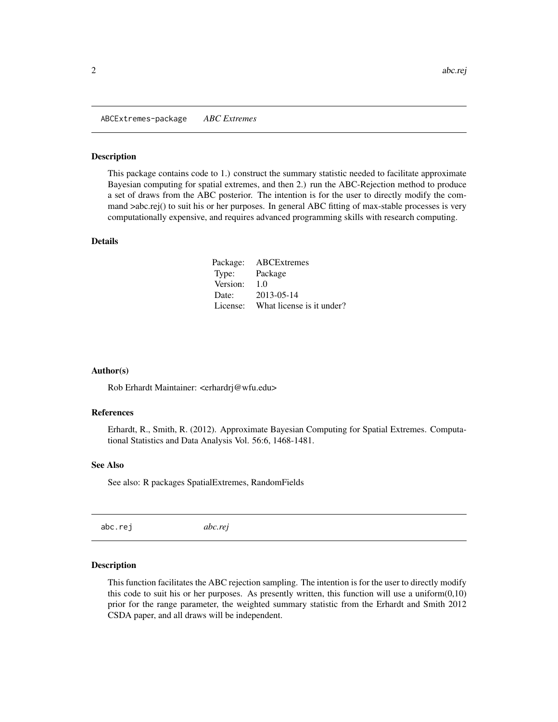<span id="page-1-0"></span>ABCExtremes-package *ABC Extremes*

#### Description

This package contains code to 1.) construct the summary statistic needed to facilitate approximate Bayesian computing for spatial extremes, and then 2.) run the ABC-Rejection method to produce a set of draws from the ABC posterior. The intention is for the user to directly modify the command >abc.rej() to suit his or her purposes. In general ABC fitting of max-stable processes is very computationally expensive, and requires advanced programming skills with research computing.

#### Details

| Package: | ABCExtremes               |
|----------|---------------------------|
| Type:    | Package                   |
| Version: | 1.0                       |
| Date:    | 2013-05-14                |
| License: | What license is it under? |

#### Author(s)

Rob Erhardt Maintainer: <erhardrj@wfu.edu>

#### References

Erhardt, R., Smith, R. (2012). Approximate Bayesian Computing for Spatial Extremes. Computational Statistics and Data Analysis Vol. 56:6, 1468-1481.

#### See Also

See also: R packages SpatialExtremes, RandomFields

abc.rej *abc.rej*

#### Description

This function facilitates the ABC rejection sampling. The intention is for the user to directly modify this code to suit his or her purposes. As presently written, this function will use a uniform $(0,10)$ prior for the range parameter, the weighted summary statistic from the Erhardt and Smith 2012 CSDA paper, and all draws will be independent.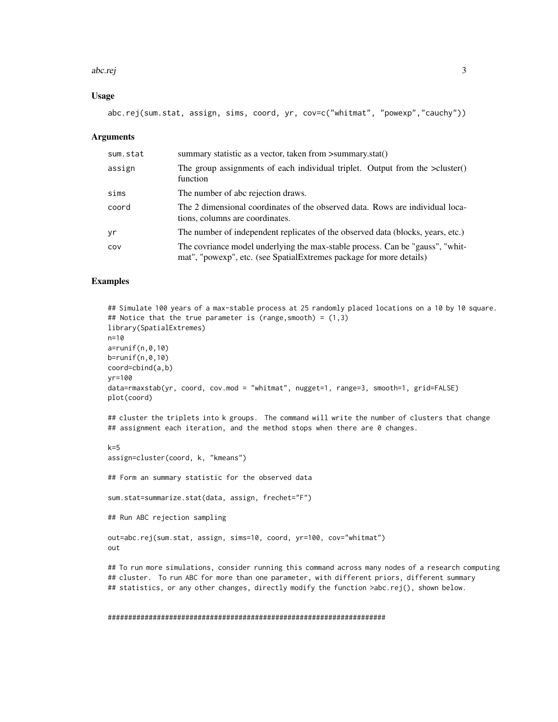#### abc.rej 3

#### Usage

abc.rej(sum.stat, assign, sims, coord, yr, cov=c("whitmat", "powexp","cauchy"))

#### **Arguments**

| sum.stat | summary statistic as a vector, taken from >summary.stat()                                                                                            |
|----------|------------------------------------------------------------------------------------------------------------------------------------------------------|
| assign   | The group assignments of each individual triplet. Output from the $\geq$ cluster()<br>function                                                       |
| sims     | The number of abc rejection draws.                                                                                                                   |
| coord    | The 2 dimensional coordinates of the observed data. Rows are individual loca-<br>tions, columns are coordinates.                                     |
| yr       | The number of independent replicates of the observed data (blocks, years, etc.)                                                                      |
| COV      | The covriance model underlying the max-stable process. Can be "gauss", "whit-<br>mat", "powexp", etc. (see SpatialExtremes package for more details) |

#### Examples

```
## Simulate 100 years of a max-stable process at 25 randomly placed locations on a 10 by 10 square.
## Notice that the true parameter is (range, smooth) = (1,3)library(SpatialExtremes)
n=10
a=runif(n,0,10)
b=runif(n,0,10)
coord=cbind(a,b)
yr=100
data=rmaxstab(yr, coord, cov.mod = "whitmat", nugget=1, range=3, smooth=1, grid=FALSE)
plot(coord)
```
## cluster the triplets into k groups. The command will write the number of clusters that change ## assignment each iteration, and the method stops when there are 0 changes.

k=5 assign=cluster(coord, k, "kmeans")

## Form an summary statistic for the observed data

sum.stat=summarize.stat(data, assign, frechet="F")

## Run ABC rejection sampling

```
out=abc.rej(sum.stat, assign, sims=10, coord, yr=100, cov="whitmat")
out
```
## To run more simulations, consider running this command across many nodes of a research computing ## cluster. To run ABC for more than one parameter, with different priors, different summary ## statistics, or any other changes, directly modify the function >abc.rej(), shown below.

#### ####################################################################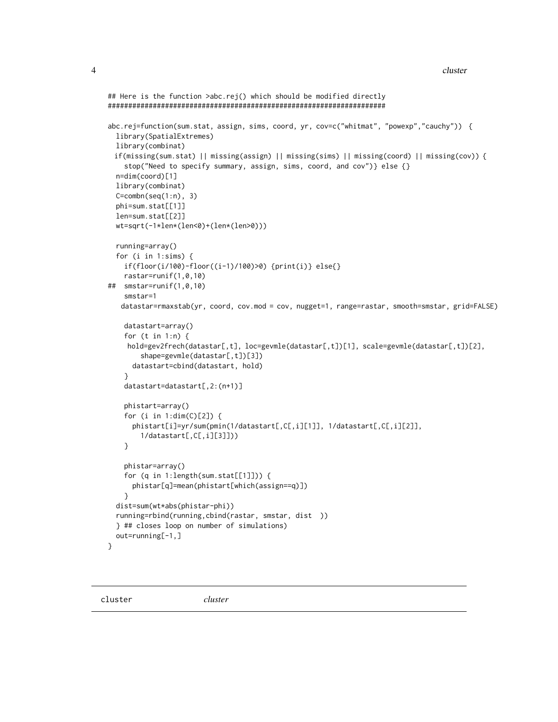4 cluster and the contract of the contract of the contract of the contract of the contract of the contract of the contract of the contract of the contract of the contract of the contract of the contract of the contract of

```
## Here is the function >abc.rej() which should be modified directly
####################################################################
abc.rej=function(sum.stat, assign, sims, coord, yr, cov=c("whitmat", "powexp","cauchy")) {
 library(SpatialExtremes)
 library(combinat)
 if(missing(sum.stat) || missing(assign) || missing(sims) || missing(coord) || missing(cov)) {
    stop("Need to specify summary, assign, sims, coord, and cov")} else {}
 n=dim(coord)[1]
 library(combinat)
 C=combn(seq(1:n), 3)phi=sum.stat[[1]]
 len=sum.stat[[2]]
 wt=sqrt(-1*len*(len<0)+(len*(len>0)))
 running=array()
 for (i in 1:sims) {
    if(floor(i/100)-floor((i-1)/100)>0) {print(i)} else{}
   rastar=runif(1,0,10)
## smstar=runif(1,0,10)
   smstar=1
   datastar=rmaxstab(yr, coord, cov.mod = cov, nugget=1, range=rastar, smooth=smstar, grid=FALSE)
    datastart=array()
    for (t in 1:n) {
    hold=gev2frech(datastar[,t], loc=gevmle(datastar[,t])[1], scale=gevmle(datastar[,t])[2],
        shape=gevmle(datastar[,t])[3])
     datastart=cbind(datastart, hold)
    }
    datastart=datastart[,2:(n+1)]
   phistart=array()
    for (i in 1:dim(C)[2]) {
     phistart[i]=yr/sum(pmin(1/datastart[,C[,i][1]], 1/datastart[,C[,i][2]],
        1/datastart[,C[,i][3]]))
    }
    phistar=array()
    for (q in 1:length(sum.stat[[1]])) {
     phistar[q]=mean(phistart[which(assign==q)])
    }
 dist=sum(wt*abs(phistar-phi))
 running=rbind(running,cbind(rastar, smstar, dist ))
 } ## closes loop on number of simulations)
 out=running[-1,]
}
```
cluster *cluster*

<span id="page-3-0"></span>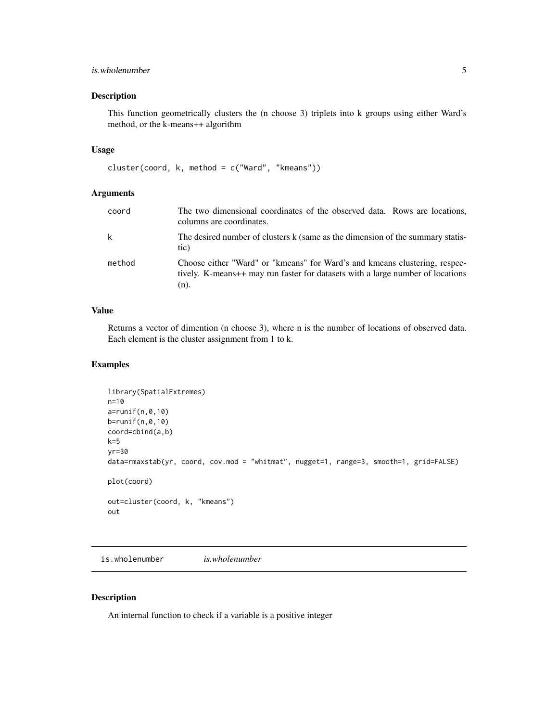#### <span id="page-4-0"></span>is.wholenumber 5

#### Description

This function geometrically clusters the (n choose 3) triplets into k groups using either Ward's method, or the k-means++ algorithm

#### Usage

```
cluster(coord, k, method = c("Ward", "kmeans"))
```
#### Arguments

| coord  | The two dimensional coordinates of the observed data. Rows are locations,<br>columns are coordinates.                                                                   |
|--------|-------------------------------------------------------------------------------------------------------------------------------------------------------------------------|
| k      | The desired number of clusters k (same as the dimension of the summary statis-<br>tic)                                                                                  |
| method | Choose either "Ward" or "kmeans" for Ward's and kmeans clustering, respec-<br>tively. K-means++ may run faster for datasets with a large number of locations<br>$(n)$ . |

#### Value

Returns a vector of dimention (n choose 3), where n is the number of locations of observed data. Each element is the cluster assignment from 1 to k.

#### Examples

```
library(SpatialExtremes)
n=10
a=runif(n,0,10)
b=runif(n,0,10)
coord=cbind(a,b)
k=5yr=30
data=rmaxstab(yr, coord, cov.mod = "whitmat", nugget=1, range=3, smooth=1, grid=FALSE)
plot(coord)
out=cluster(coord, k, "kmeans")
out
```
is.wholenumber *is.wholenumber*

#### Description

An internal function to check if a variable is a positive integer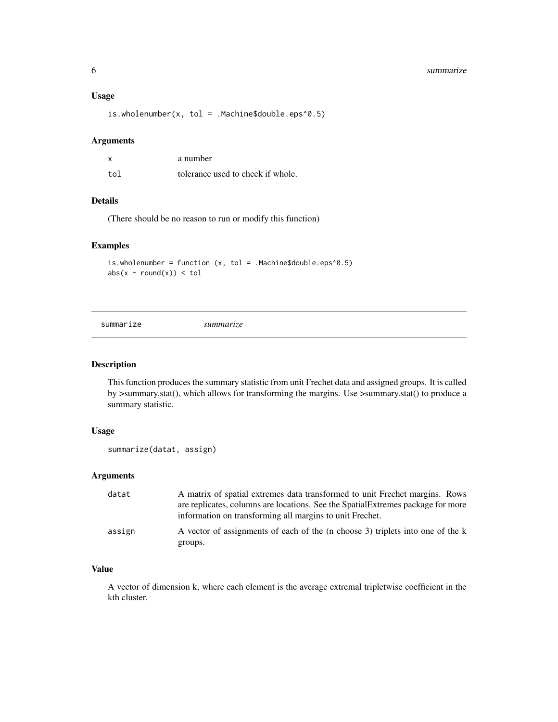#### <span id="page-5-0"></span>6 summarize that the summarize that the summarize that the summarize that  $\sim$  summarize

#### Usage

is.wholenumber(x, tol = .Machine\$double.eps^0.5)

#### Arguments

| $\boldsymbol{\mathsf{x}}$ | a number                          |
|---------------------------|-----------------------------------|
| tol                       | tolerance used to check if whole. |

#### Details

(There should be no reason to run or modify this function)

#### Examples

is.wholenumber = function  $(x, tol = .Machine$double.eps^0.5)$  $abs(x - round(x)) < tol$ 

summarize *summarize*

#### Description

This function produces the summary statistic from unit Frechet data and assigned groups. It is called by >summary.stat(), which allows for transforming the margins. Use >summary.stat() to produce a summary statistic.

#### Usage

```
summarize(datat, assign)
```
#### Arguments

| datat  | A matrix of spatial extremes data transformed to unit Frechet margins. Rows<br>are replicates, columns are locations. See the Spatial Extremes package for more<br>information on transforming all margins to unit Frechet. |
|--------|-----------------------------------------------------------------------------------------------------------------------------------------------------------------------------------------------------------------------------|
| assign | A vector of assignments of each of the (n choose 3) triplets into one of the k<br>groups.                                                                                                                                   |

#### Value

A vector of dimension k, where each element is the average extremal tripletwise coefficient in the kth cluster.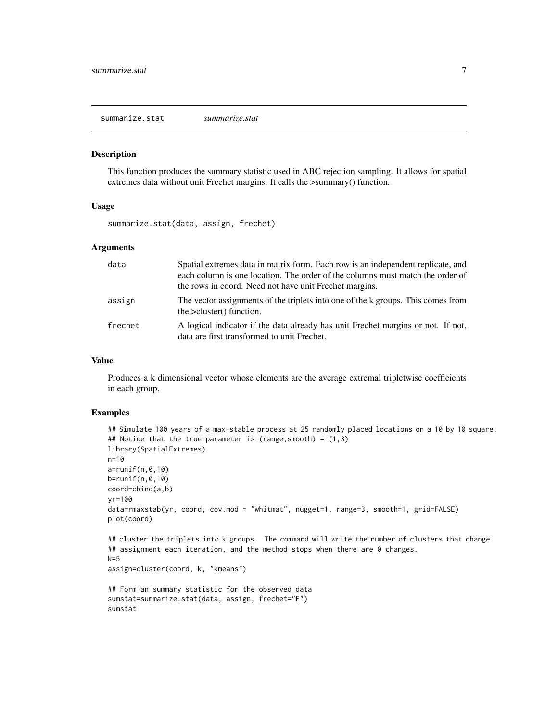<span id="page-6-0"></span>summarize.stat *summarize.stat*

#### Description

This function produces the summary statistic used in ABC rejection sampling. It allows for spatial extremes data without unit Frechet margins. It calls the >summary() function.

#### Usage

summarize.stat(data, assign, frechet)

#### Arguments

| data    | Spatial extremes data in matrix form. Each row is an independent replicate, and<br>each column is one location. The order of the columns must match the order of<br>the rows in coord. Need not have unit Frechet margins. |
|---------|----------------------------------------------------------------------------------------------------------------------------------------------------------------------------------------------------------------------------|
| assign  | The vector assignments of the triplets into one of the k groups. This comes from<br>the $>$ cluster() function.                                                                                                            |
| frechet | A logical indicator if the data already has unit Frechet margins or not. If not,<br>data are first transformed to unit Frechet.                                                                                            |

#### Value

Produces a k dimensional vector whose elements are the average extremal tripletwise coefficients in each group.

#### Examples

```
## Simulate 100 years of a max-stable process at 25 randomly placed locations on a 10 by 10 square.
## Notice that the true parameter is (range, smooth) = (1,3)library(SpatialExtremes)
n=10
a=runif(n,0,10)
b=runif(n,0,10)
coord=cbind(a,b)
yr=100
data=rmaxstab(yr, coord, cov.mod = "whitmat", nugget=1, range=3, smooth=1, grid=FALSE)
plot(coord)
## cluster the triplets into k groups. The command will write the number of clusters that change
## assignment each iteration, and the method stops when there are 0 changes.
k=5assign=cluster(coord, k, "kmeans")
## Form an summary statistic for the observed data
sumstat=summarize.stat(data, assign, frechet="F")
sumstat
```